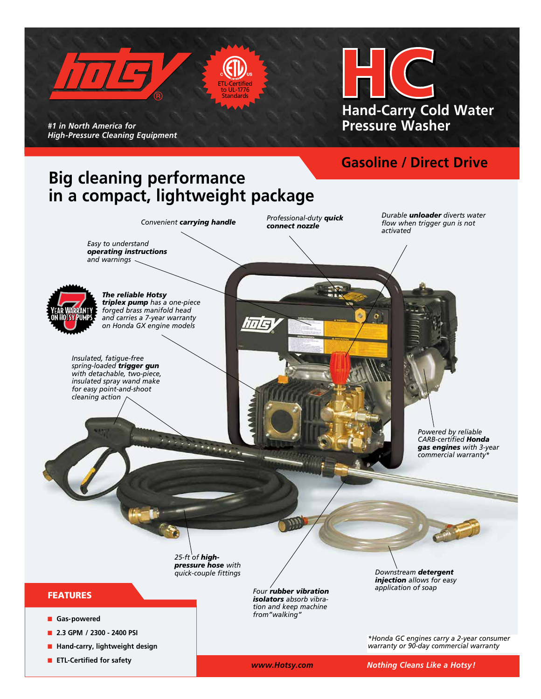

*Powered by reliable CARB-certified Honda gas engines with 3-year commercial warranty\**

*25-ft of highpressure hose with quick-couple fittings*

 $\mathcal{L}(\mathbf{x},\mathbf{y})$ 

## FEATURES

- **n** Gas-powered
- n **2.3 GPM / 2300 2400 PSI**
- **n** Hand-carry, lightweight design
- **n** ETL-Certified for safety

*Four rubber vibration isolators absorb vibration and keep machine from"walking"*

*Downstream detergent injection allows for easy application of soap* 

*\*Honda GC engines carry a 2-year consumer warranty or 90-day commercial warranty*

 *www.Hotsy.com Nothing Cleans Like a Hotsy!*